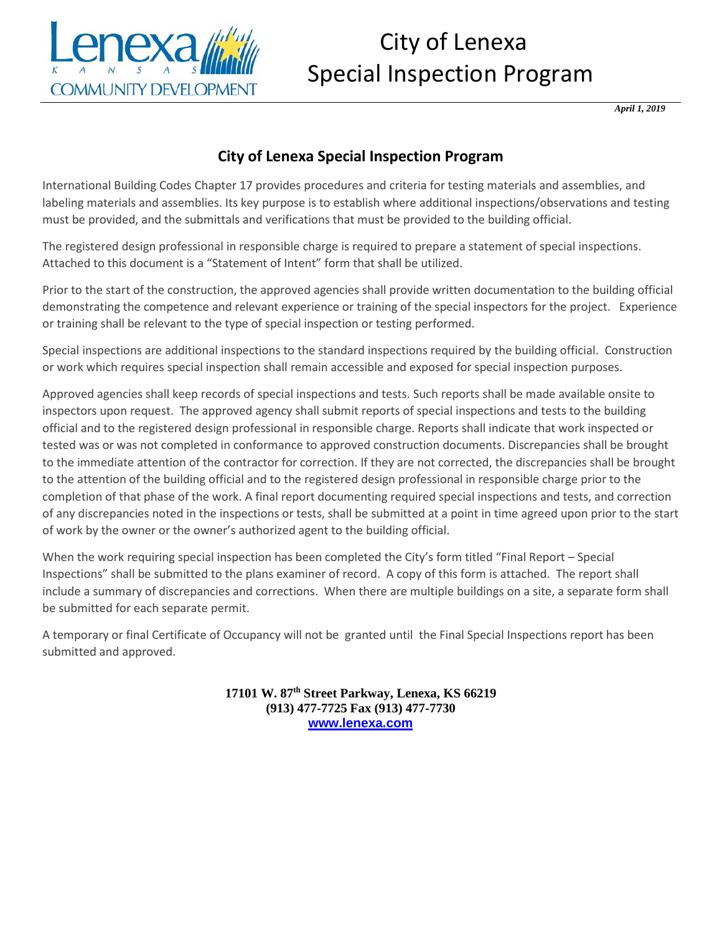

## City of Lenexa Special Inspection Program

*April 1, 2019* 

## **City of Lenexa Special Inspection Program**

International Building Codes [Chapter 17](https://codes.iccsafe.org/premium/document/linkit/IBC2018_Ch17/985/11529560/text-id-11529560) provides procedures and criteria for testing materials and assemblies, and labeling materials and assemblies. Its key purpose is to establish where additional inspections/observations and testing must be provided, and the submittals and verifications that must be provided to the building official.

The registered design professional in responsible charge is required to prepare a statement of special inspections. Attached to this document is a "Statement of Intent" form that shall be utilized.

Prior to the start of the construction, the approved agencies shall provide written documentation to the building official demonstrating the competence and relevant experience or training of the special inspectors for the project. Experience or training shall be relevant to the type of special inspection or testing performed.

Special inspections are additional inspections to the standard inspections required by the building official. Construction or work which requires special inspection shall remain accessible and exposed for special inspection purposes.

Approved agencies shall keep records of special inspections and tests. Such reports shall be made available onsite to inspectors upon request. The approved agency shall submit reports of special inspections and tests to the building official and to the registered design professional in responsible charge. Reports shall indicate that work inspected or tested was or was not completed in conformance to approved construction documents. Discrepancies shall be brought to the immediate attention of the contractor for correction. If they are not corrected, the discrepancies shall be brought to the attention of the building official and to the registered design professional in responsible charge prior to the completion of that phase of the work. A final report documenting required special inspections and tests, and correction of any discrepancies noted in the inspections or tests, shall be submitted at a point in time agreed upon prior to the start of work by the owner or the owner's authorized agent to the building official.

When the work requiring special inspection has been completed the City's form titled "Final Report – Special Inspections" shall be submitted to the plans examiner of record. A copy of this form is attached. The report shall include a summary of discrepancies and corrections. When there are multiple buildings on a site, a separate form shall be submitted for each separate permit.

A temporary or final Certificate of Occupancy will not be granted until the Final Special Inspections report has been submitted and approved.

> **17101 W. 87th Street Parkway, Lenexa, KS 66219 (913) 477-7725 Fax (913) 477-7730 [www.lenexa.com](http://www.lenexa.com/)**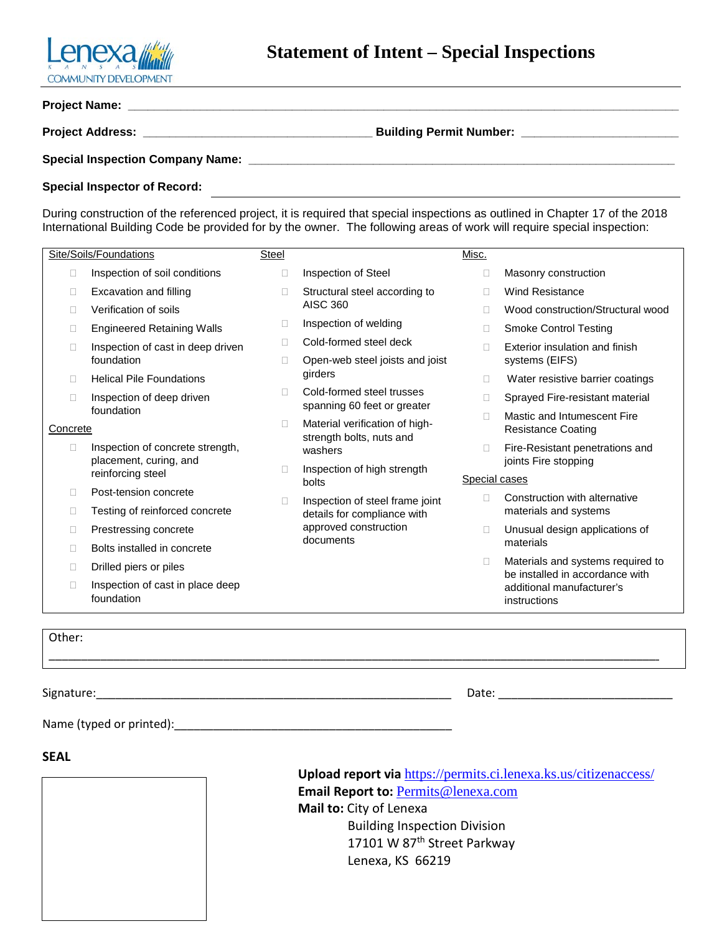

|                                     | Building Permit Number: ________________________ |  |
|-------------------------------------|--------------------------------------------------|--|
|                                     |                                                  |  |
| <b>Special Inspector of Record:</b> |                                                  |  |

During construction of the referenced project, it is required that special inspections as outlined in Chapter 17 of the 2018 International Building Code be provided for by the owner. The following areas of work will require special inspection:

|          | Site/Soils/Foundations                         | Steel          |                                                          | Misc.         |                                                                      |  |
|----------|------------------------------------------------|----------------|----------------------------------------------------------|---------------|----------------------------------------------------------------------|--|
| □        | Inspection of soil conditions                  | П              | Inspection of Steel                                      | П             | Masonry construction                                                 |  |
| □        | Excavation and filling                         | П              | Structural steel according to                            | П             | <b>Wind Resistance</b>                                               |  |
| П        | Verification of soils                          |                | <b>AISC 360</b>                                          | П             | Wood construction/Structural wood                                    |  |
| □        | <b>Engineered Retaining Walls</b>              | $\mathbb{R}^n$ | Inspection of welding                                    | П             | <b>Smoke Control Testing</b>                                         |  |
| □        | Inspection of cast in deep driven              | П              | Cold-formed steel deck                                   | П             | Exterior insulation and finish                                       |  |
|          | foundation                                     | П              | Open-web steel joists and joist                          |               | systems (EIFS)                                                       |  |
| П        | <b>Helical Pile Foundations</b>                |                | girders                                                  | П             | Water resistive barrier coatings                                     |  |
| □        | Inspection of deep driven                      | П              | Cold-formed steel trusses<br>spanning 60 feet or greater | □             | Sprayed Fire-resistant material                                      |  |
|          | foundation                                     | П              | Material verification of high-                           | П             | Mastic and Intumescent Fire                                          |  |
| Concrete |                                                |                | strength bolts, nuts and                                 |               | <b>Resistance Coating</b>                                            |  |
| □        | Inspection of concrete strength,               |                | washers                                                  | П             | Fire-Resistant penetrations and                                      |  |
|          | placement, curing, and<br>reinforcing steel    | П              | Inspection of high strength                              |               | joints Fire stopping                                                 |  |
|          |                                                |                | bolts                                                    | Special cases |                                                                      |  |
| □        | Post-tension concrete                          | П              | Inspection of steel frame joint                          | П             | Construction with alternative                                        |  |
| Е        | Testing of reinforced concrete                 |                | details for compliance with                              |               | materials and systems                                                |  |
| □        | Prestressing concrete                          |                | approved construction                                    | O             | Unusual design applications of                                       |  |
| П        | Bolts installed in concrete                    |                | documents                                                |               | materials                                                            |  |
| П        | Drilled piers or piles                         |                |                                                          | о             | Materials and systems required to<br>be installed in accordance with |  |
| П        | Inspection of cast in place deep<br>foundation |                |                                                          |               | additional manufacturer's                                            |  |
|          |                                                |                |                                                          |               | instructions                                                         |  |
|          |                                                |                |                                                          |               |                                                                      |  |

\_\_\_\_\_\_\_\_\_\_\_\_\_\_\_\_\_\_\_\_\_\_\_\_\_\_\_\_\_\_\_\_\_\_\_\_\_\_\_\_\_\_\_\_\_\_\_\_\_\_\_\_\_\_\_\_\_\_\_\_\_\_\_\_\_\_\_\_\_\_\_\_\_\_\_\_\_\_\_\_\_\_\_\_\_\_\_\_\_\_\_\_\_\_\_

Other:

Signature:\_\_\_\_\_\_\_\_\_\_\_\_\_\_\_\_\_\_\_\_\_\_\_\_\_\_\_\_\_\_\_\_\_\_\_\_\_\_\_\_\_\_\_\_\_\_\_\_\_\_\_\_\_\_\_ Date: \_\_\_\_\_\_\_\_\_\_\_\_\_\_\_\_\_\_\_\_\_\_\_\_\_\_\_

Name (typed or printed):\_\_\_\_\_\_\_\_\_\_\_\_\_\_\_\_\_\_\_\_\_\_\_\_\_\_\_\_\_\_\_\_\_\_\_\_\_\_\_\_\_\_\_

**SEAL**



 **Upload report via** https://permits.ci.lenexa.ks.us/citizenaccess/  **Email Report to:** [Permits@lenexa.com](mailto:Permits@lenexa.com)  **Mail to:** City of Lenexa Building Inspection Division 17101 W 87<sup>th</sup> Street Parkway Lenexa, KS 66219